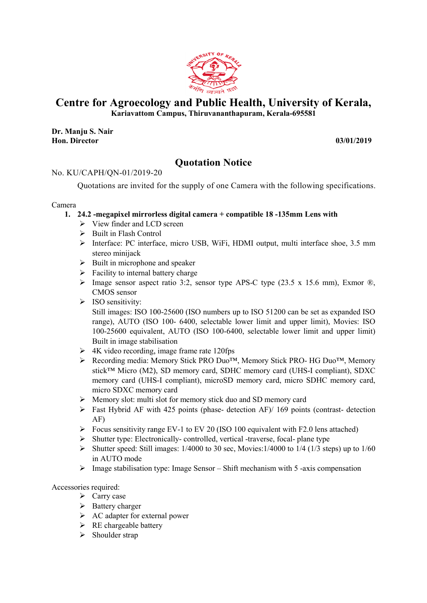

# Centre for Agroecology and Public Health, University of Kerala,

Kariavattom Campus, Thiruvananthapuram, Kerala Kerala-695581

Dr. Manju S. Nair Hon. Director

695581<br>03/01/2019

## Quotation Notice

## No. KU/CAPH/QN-01/2019-20

<sup>J/</sup>CAPH/QN-01/2019-20<br>Quotations are invited for the supply of one Camera with the following specifications.

### Camera

- 1. 24.2 -megapixel mirrorless digital camera  $+$  compatible 18 -135mm Lens with
	- $\triangleright$  View finder and LCD screen
	- Built in Flash Control Built in Flash Control
	- > Interface: PC interface, micro USB, WiFi, HDMI output, multi interface shoe, 3.5 mm stereo minijack
	- $\triangleright$  Built in microphone and speaker
	- $\triangleright$  Facility to internal battery charge
	- Facility to internal battery charge<br>  $\geq$  Image sensor aspect ratio 3:2, sensor type APS-C type (23.5 x 15.6 mm), Exmor ®, CMOS sensor
	- $\triangleright$  ISO sensitivity:

Still images: ISO 100 100-25600 (ISO numbers up to ISO 51200 can be set as expanded ISO range), AUTO (ISO 100 (ISO 100- 6400, selectable lower limit and upper limit) 100-25600 equivalent 25600 equivalent, AUTO (ISO 100-6400, selectable lower limit and upper limit) Built in image stabilisation C type (23.5 x 15.6 mm), Exmor ®,<br>ISO 51200 can be set as expanded ISO<br>· limit and upper limit), Movies: ISO

- 4K video recording, image frame rate 120fps
- > Recording media: Memory Stick PRO Duo<sup>™</sup>, Memory Stick PRO- HG Duo<sup>™</sup>, Memory stick<sup>™</sup> Micro (M2), SD memory card, SDHC memory card (UHS-I compliant), SDXC memory card (UHS (UHS-I compliant), microSD memory card, micro SDHC memory card, micro SDXC memory card memory card (UHS-I compliant), microSD memory card, micro SDHC memory card,<br>micro SDXC memory card<br>
> Memory slot: multi slot for memory stick duo and SD memory card<br>
> Fast Hybrid AF with 425 points (phase- detection AF)/
- $\triangleright$  Memory slot: multi slot for memory stick duo and SD memory card
- AF)
- $\triangleright$  Focus sensitivity range EV-1 to EV 20 (ISO 100 equivalent with F2.0 lens attached)
- > Shutter type: Electronically-controlled, vertical -traverse, focal- plane type
- Shutter speed: Still images:  $1/4000$  to 30 sec, Movies:  $1/4000$  to  $1/4$  ( $1/3$  steps) up to  $1/60$ in AUTO mode Shutter speed: Still images:  $1/4000$  to 30 sec, Movies: $1/4000$  to  $1/4$  ( $1/3$  steps) up in AUTO mode<br>
Sensor – Shift mechanism with 5 -axis compensation<br>  $\triangleright$  Image stabilisation type: Image Sensor – Shift mechanism 1 to EV 20 (ISO 100 equivalent with F2.0 lens attached)<br>- controlled, vertical -traverse, focal- plane type<br> $1/4000$  to 30 sec, Movies: $1/4000$  to  $1/4$  ( $1/3$  steps) up to 3<br>age Sensor – Shift mechanism with 5 -axis comp
- 

Accessories required:

- $\triangleright$  Carry case
- $\triangleright$  Battery charger
- AC adapter for external power<br>  $\triangleright$  RE chargeable battery
- $\triangleright$  RE chargeable battery
- $\triangleright$  Shoulder strap